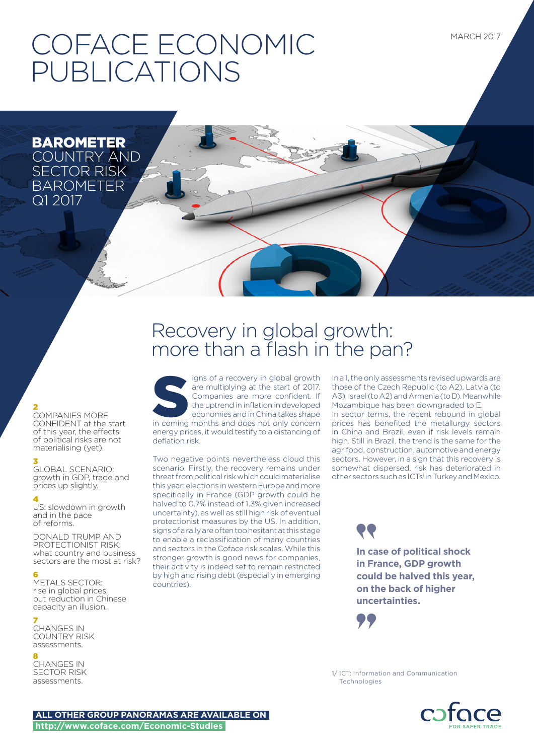MARCH 2017

# COFACE ECONOMIC PUBLICATIONS

BAROMETER COUNTRY AND SECTOR RISK BAROMETER Q1 2017

# 2

COMPANIES MORE CONFIDENT at the start of this year, the effects of political risks are not materialising (yet).

# 3

GLOBAL SCENARIO: growth in GDP, trade and prices up slightly.

### 4

US: slowdown in growth and in the pace of reforms.

DONALD TRUMP AND PROTECTIONIST RISK: what country and business sectors are the most at risk?

# 6

METALS SECTOR: rise in global prices, but reduction in Chinese capacity an illusion.

# 7

CHANGES IN COUNTRY RISK assessments.

#### 8

CHANGES IN SECTOR RISK assessments.

# Recovery in global growth: more than a flash in the pan?

igns of a recovery in global growth are multiplying at the start of 2017. Companies are more confident. If the uptrend in inflation in developed economies and in China takes shape in coming months and does not only concern energy prices, it would testify to a distancing of deflation risk.

Two negative points nevertheless cloud this scenario. Firstly, the recovery remains under threat from political risk which could materialise this year: elections in western Europe and more specifically in France (GDP growth could be halved to 0.7% instead of 1.3% given increased uncertainty), as well as still high risk of eventual protectionist measures by the US. In addition, signs of a rally are often too hesitant at this stage to enable a reclassification of many countries and sectors in the Coface risk scales. While this stronger growth is good news for companies, their activity is indeed set to remain restricted by high and rising debt (especially in emerging countries).

In all, the only assessments revised upwards are those of the Czech Republic (to A2), Latvia (to A3), Israel (to A2) and Armenia (to D). Meanwhile Mozambique has been downgraded to E. In sector terms, the recent rebound in global prices has benefited the metallurgy sectors in China and Brazil, even if risk levels remain high. Still in Brazil, the trend is the same for the agrifood, construction, automotive and energy sectors. However, in a sign that this recovery is somewhat dispersed, risk has deteriorated in other sectors such as ICTs<sup>1</sup> in Turkey and Mexico.

> **In case of political shock in France, GDP growth could be halved this year, on the back of higher uncertainties.**



1/ ICT: Information and Communication Technologies



**ALL OTHER GROUP PANORAMAS ARE AVAILABLE ON http://www.coface.com/Economic-Studies**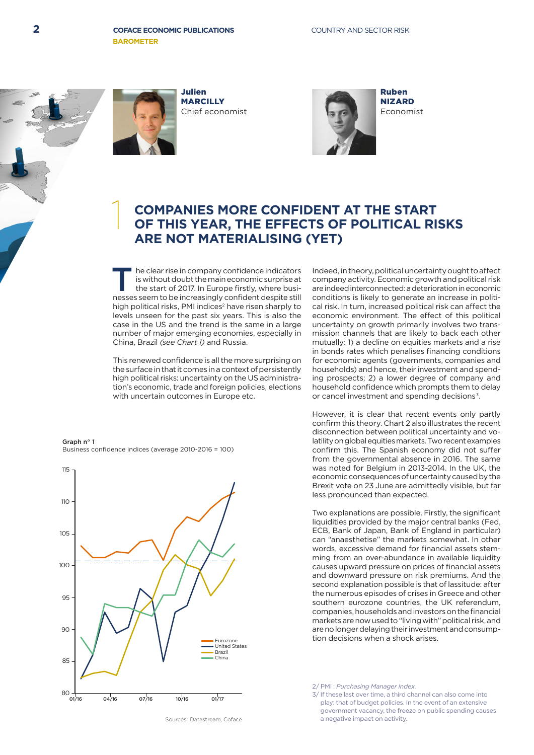

1

Julien **MARCILLY** Chief economist



Ruben NIZARD Economist

# **COMPANIES MORE CONFIDENT AT THE START OF THIS YEAR, THE EFFECTS OF POLITICAL RISKS ARE NOT MATERIALISING (YET)**

The clear rise in company confidence indicators<br>is without doubt the main economic surprise at<br>the start of 2017. In Europe firstly, where busi-<br>nesses seem to be increasingly confident despite still is without doubt the main economic surprise at the start of 2017. In Europe firstly, where businesses seem to be increasingly confident despite still high political risks, PMI indices<sup>2</sup> have risen sharply to levels unseen for the past six years. This is also the case in the US and the trend is the same in a large number of major emerging economies, especially in China, Brazil *(see Chart 1)* and Russia.

This renewed confidence is all the more surprising on the surface in that it comes in a context of persistently high political risks: uncertainty on the US administration's economic, trade and foreign policies, elections with uncertain outcomes in Europe etc.

#### Graph  $n^{\circ}$  1



Business confidence indices (average 2010-2016 = 100)

Indeed, in theory, political uncertainty ought to affect company activity. Economic growth and political risk are indeed interconnected: a deterioration in economic conditions is likely to generate an increase in political risk. In turn, increased political risk can affect the economic environment. The effect of this political uncertainty on growth primarily involves two transmission channels that are likely to back each other mutually: 1) a decline on equities markets and a rise in bonds rates which penalises financing conditions for economic agents (governments, companies and households) and hence, their investment and spending prospects; 2) a lower degree of company and household confidence which prompts them to delay or cancel investment and spending decisions<sup>3</sup>.

However, it is clear that recent events only partly confirm this theory. Chart 2 also illustrates the recent disconnection between political uncertainty and volatility on global equities markets. Two recent examples confirm this. The Spanish economy did not suffer from the governmental absence in 2016. The same was noted for Belgium in 2013-2014. In the UK, the economic consequences of uncertainty caused by the Brexit vote on 23 June are admittedly visible, but far less pronounced than expected.

Two explanations are possible. Firstly, the significant liquidities provided by the major central banks (Fed, ECB, Bank of Japan, Bank of England in particular) can "anaesthetise" the markets somewhat. In other words, excessive demand for financial assets stemming from an over-abundance in available liquidity causes upward pressure on prices of financial assets and downward pressure on risk premiums. And the second explanation possible is that of lassitude: after the numerous episodes of crises in Greece and other southern eurozone countries, the UK referendum, companies, households and investors on the financial markets are now used to "living with" political risk, and are no longer delaying their investment and consumption decisions when a shock arises.

2/ PMI : *Purchasing Manager Index*.

3/ If these last over time, a third channel can also come into play: that of budget policies. In the event of an extensive government vacancy, the freeze on public spending causes a negative impact on activity.

Sources : Datastream, Coface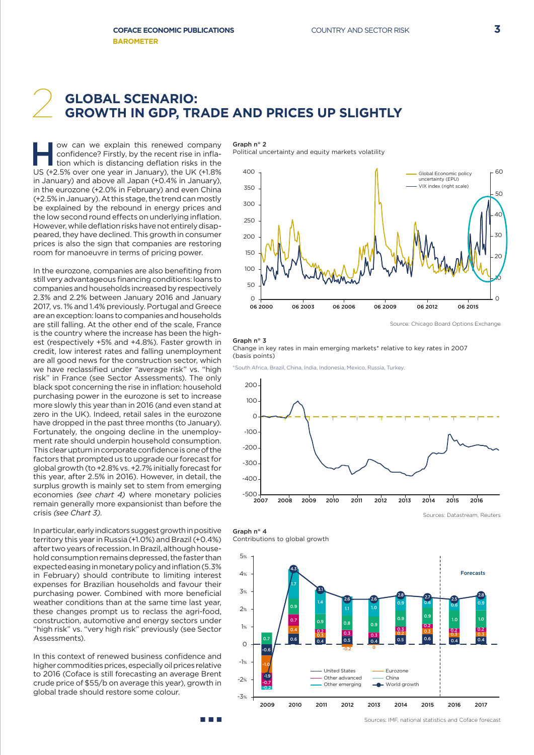# **GLOBAL SCENARIO:** 2 **GROWTH IN GDP, TRADE AND PRICES UP SLIGHTLY**

ow can we explain this renewed company<br>
confidence? Firstly, by the recent rise in infla-<br>
tion which is distancing deflation risks in the<br>
LIS (+2.5% over one year in January), the LIK (+1.8% confidence? Firstly, by the recent rise in infla-US (+2.5% over one year in January), the UK (+1.8% in January) and above all Japan (+0.4% in January), in the eurozone (+2.0% in February) and even China (+2.5% in January). At this stage, the trend can mostly be explained by the rebound in energy prices and the low second round effects on underlying inflation. However, while deflation risks have not entirely disappeared, they have declined. This growth in consumer prices is also the sign that companies are restoring room for manoeuvre in terms of pricing power.

In the eurozone, companies are also benefiting from still very advantageous financing conditions: loans to companies and households increased by respectively 2.3% and 2.2% between January 2016 and January 2017, vs. 1% and 1.4% previously. Portugal and Greece are an exception: loans to companies and households are still falling. At the other end of the scale, France is the country where the increase has been the highest (respectively +5% and +4.8%). Faster growth in credit, low interest rates and falling unemployment are all good news for the construction sector, which we have reclassified under "average risk" vs. "high risk" in France (see Sector Assessments). The only black spot concerning the rise in inflation: household purchasing power in the eurozone is set to increase more slowly this year than in 2016 (and even stand at zero in the UK). Indeed, retail sales in the eurozone have dropped in the past three months (to January). Fortunately, the ongoing decline in the unemployment rate should underpin household consumption. This clear upturn in corporate confidence is one of the factors that prompted us to upgrade our forecast for global growth (to +2.8% vs. +2.7% initially forecast for this year, after 2.5% in 2016). However, in detail, the surplus growth is mainly set to stem from emerging economies *(see chart 4)* where monetary policies remain generally more expansionist than before the crisis *(see Chart 3)*.

In particular, early indicators suggest growth in positive territory this year in Russia (+1.0%) and Brazil (+0.4%) after two years of recession. In Brazil, although household consumption remains depressed, the faster than expected easing in monetary policy and inflation (5.3% in February) should contribute to limiting interest expenses for Brazilian households and favour their purchasing power. Combined with more beneficial weather conditions than at the same time last year, these changes prompt us to reclass the agri-food, construction, automotive and energy sectors under "high risk" vs. "very high risk" previously (see Sector Assessments).

In this context of renewed business confidence and higher commodities prices, especially oil prices relative to 2016 (Coface is still forecasting an average Brent crude price of \$55/b on average this year), growth in global trade should restore some colour.

n na

Graph n° 2

Political uncertainty and equity markets volatility



Source: Chicago Board Options Exchange

#### Graph  $n^{\circ}$  3

Change in key rates in main emerging markets\* relative to key rates in 2007 (basis points)

\*South Africa, Brazil, China, India, Indonesia, Mexico, Russia, Turkey.







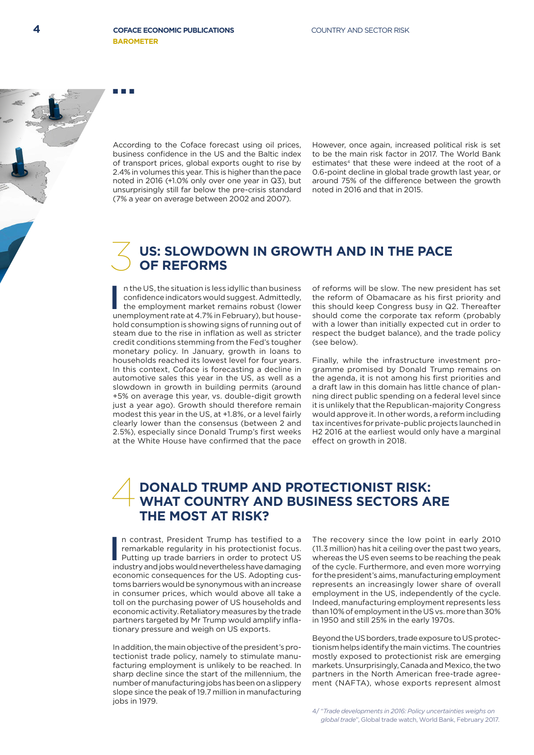According to the Coface forecast using oil prices, business confidence in the US and the Baltic index of transport prices, global exports ought to rise by 2.4% in volumes this year. This is higher than the pace noted in 2016 (+1.0% only over one year in Q3), but unsurprisingly still far below the pre-crisis standard (7% a year on average between 2002 and 2007).

However, once again, increased political risk is set to be the main risk factor in 2017. The World Bank estimates<sup>4</sup> that these were indeed at the root of a 0.6-point decline in global trade growth last year, or around 75% of the difference between the growth noted in 2016 and that in 2015.

# **US: SLOWDOWN IN GROWTH AND IN THE PACE**<br>OF REFORMS

In the US, the situation is less idyllic than business<br>confidence indicators would suggest. Admittedly,<br>the employment market remains robust (lower<br>unemployment rate at 4.7% in February), but housen the US, the situation is less idyllic than business confidence indicators would suggest. Admittedly, the employment market remains robust (lower hold consumption is showing signs of running out of steam due to the rise in inflation as well as stricter credit conditions stemming from the Fed's tougher monetary policy. In January, growth in loans to households reached its lowest level for four years. In this context, Coface is forecasting a decline in automotive sales this year in the US, as well as a slowdown in growth in building permits (around +5% on average this year, vs. double-digit growth just a year ago). Growth should therefore remain modest this year in the US, at +1.8%, or a level fairly clearly lower than the consensus (between 2 and 2.5%), especially since Donald Trump's first weeks at the White House have confirmed that the pace

of reforms will be slow. The new president has set the reform of Obamacare as his first priority and this should keep Congress busy in Q2. Thereafter should come the corporate tax reform (probably with a lower than initially expected cut in order to respect the budget balance), and the trade policy (see below).

Finally, while the infrastructure investment programme promised by Donald Trump remains on the agenda, it is not among his first priorities and a draft law in this domain has little chance of planning direct public spending on a federal level since it is unlikely that the Republican-majority Congress would approve it. In other words, a reform including tax incentives for private-public projects launched in H2 2016 at the earliest would only have a marginal effect on growth in 2018.

# **DONALD TRUMP AND PROTECTIONIST RISK: WHAT COUNTRY AND BUSINESS SECTORS ARE THE MOST AT RISK?** 4

In contrast, President Trump has testified to a<br>remarkable regularity in his protectionist focus.<br>Putting up trade barriers in order to protect US<br>industry and jobs would nevertheless have damaging n contrast, President Trump has testified to a remarkable regularity in his protectionist focus. Putting up trade barriers in order to protect US economic consequences for the US. Adopting customs barriers would be synonymous with an increase in consumer prices, which would above all take a toll on the purchasing power of US households and economic activity. Retaliatory measures by the trade partners targeted by Mr Trump would amplify inflationary pressure and weigh on US exports.

In addition, the main objective of the president's protectionist trade policy, namely to stimulate manufacturing employment is unlikely to be reached. In sharp decline since the start of the millennium, the number of manufacturing jobs has been on a slippery slope since the peak of 19.7 million in manufacturing iobs in 1979.

The recovery since the low point in early 2010 (11.3 million) has hit a ceiling over the past two years, whereas the US even seems to be reaching the peak of the cycle. Furthermore, and even more worrying for the president's aims, manufacturing employment represents an increasingly lower share of overall employment in the US, independently of the cycle. Indeed, manufacturing employment represents less than 10% of employment in the US vs. more than 30% in 1950 and still 25% in the early 1970s.

Beyond the US borders, trade exposure to US protectionism helps identify the main victims. The countries mostly exposed to protectionist risk are emerging markets. Unsurprisingly, Canada and Mexico, the two partners in the North American free-trade agreement (NAFTA), whose exports represent almost

4/ "*Trade developments in 2016: Policy uncertainties weighs on global trade*", Global trade watch, World Bank, February 2017.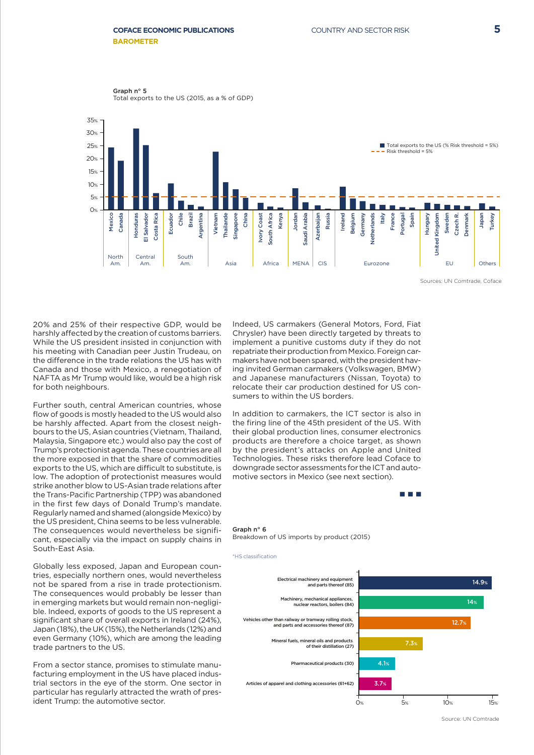Graph n° 5 Total exports to the US (2015, as a % of GDP)



20% and 25% of their respective GDP, would be harshly affected by the creation of customs barriers. While the US president insisted in conjunction with his meeting with Canadian peer Justin Trudeau, on the difference in the trade relations the US has with Canada and those with Mexico, a renegotiation of NAFTA as Mr Trump would like, would be a high risk for both neighbours.

Further south, central American countries, whose flow of goods is mostly headed to the US would also be harshly affected. Apart from the closest neighbours to the US, Asian countries (Vietnam, Thailand, Malaysia, Singapore etc.) would also pay the cost of Trump's protectionist agenda. These countries are all the more exposed in that the share of commodities exports to the US, which are difficult to substitute, is low. The adoption of protectionist measures would strike another blow to US-Asian trade relations after the Trans-Pacific Partnership (TPP) was abandoned in the first few days of Donald Trump's mandate. Regularly named and shamed (alongside Mexico) by the US president, China seems to be less vulnerable. The consequences would nevertheless be significant, especially via the impact on supply chains in South-East Asia.

Globally less exposed, Japan and European countries, especially northern ones, would nevertheless not be spared from a rise in trade protectionism. The consequences would probably be lesser than in emerging markets but would remain non-negligible. Indeed, exports of goods to the US represent a significant share of overall exports in Ireland (24%), Japan (18%), the UK (15%), the Netherlands (12%) and even Germany (10%), which are among the leading trade partners to the US.

From a sector stance, promises to stimulate manufacturing employment in the US have placed industrial sectors in the eye of the storm. One sector in particular has regularly attracted the wrath of president Trump: the automotive sector.

Indeed, US carmakers (General Motors, Ford, Fiat Chrysler) have been directly targeted by threats to implement a punitive customs duty if they do not repatriate their production from Mexico. Foreign carmakers have not been spared, with the president having invited German carmakers (Volkswagen, BMW) and Japanese manufacturers (Nissan, Toyota) to relocate their car production destined for US consumers to within the US borders.

In addition to carmakers, the ICT sector is also in the firing line of the 45th president of the US. With their global production lines, consumer electronics products are therefore a choice target, as shown by the president's attacks on Apple and United Technologies. These risks therefore lead Coface to downgrade sector assessments for the ICT and automotive sectors in Mexico (see next section).

### **COLLECT**

#### Graph  $n^{\circ}$  6

Breakdown of US imports by product (2015)



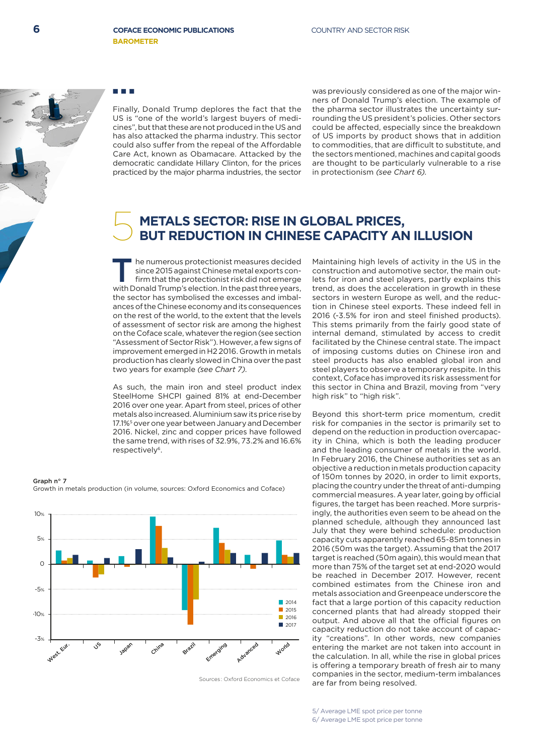

Finally, Donald Trump deplores the fact that the US is "one of the world's largest buyers of medicines", but that these are not produced in the US and has also attacked the pharma industry. This sector could also suffer from the repeal of the Affordable Care Act, known as Obamacare. Attacked by the democratic candidate Hillary Clinton, for the prices practiced by the major pharma industries, the sector

was previously considered as one of the major winners of Donald Trump's election. The example of the pharma sector illustrates the uncertainty surrounding the US president's policies. Other sectors could be affected, especially since the breakdown of US imports by product shows that in addition to commodities, that are difficult to substitute, and the sectors mentioned, machines and capital goods are thought to be particularly vulnerable to a rise in protectionism *(see Chart 6).*

# **METALS SECTOR: RISE IN GLOBAL PRICES,** 5 **BUT REDUCTION IN CHINESE CAPACITY AN ILLUSION**

he numerous protectionist measures decided since 2015 against Chinese metal exports confirm that the protectionist risk did not emerge with Donald Trump's election. In the past three years, the sector has symbolised the excesses and imbalances of the Chinese economy and its consequences on the rest of the world, to the extent that the levels of assessment of sector risk are among the highest on the Coface scale, whatever the region (see section "Assessment of Sector Risk"). However, a few signs of improvement emerged in H2 2016. Growth in metals production has clearly slowed in China over the past two years for example *(see Chart 7)*.

As such, the main iron and steel product index SteelHome SHCPI gained 81% at end-December 2016 over one year. Apart from steel, prices of other metals also increased. Aluminium saw its price rise by 17.1%<sup>5</sup> over one year between January and December 2016. Nickel, zinc and copper prices have followed the same trend, with rises of 32.9%, 73.2% and 16.6% respectively<sup>6</sup>.

Graph  $n^{\circ}$  7 Growth in metals production (in volume, sources: Oxford Economics and Coface)



Sources : Oxford Economics et Coface

Maintaining high levels of activity in the US in the construction and automotive sector, the main outlets for iron and steel players, partly explains this trend, as does the acceleration in growth in these sectors in western Europe as well, and the reduction in Chinese steel exports. These indeed fell in 2016 (-3.5% for iron and steel finished products). This stems primarily from the fairly good state of internal demand, stimulated by access to credit facilitated by the Chinese central state. The impact of imposing customs duties on Chinese iron and steel products has also enabled global iron and steel players to observe a temporary respite. In this context, Coface has improved its risk assessment for this sector in China and Brazil, moving from "very high risk" to "high risk".

Beyond this short-term price momentum, credit risk for companies in the sector is primarily set to depend on the reduction in production overcapacity in China, which is both the leading producer and the leading consumer of metals in the world. In February 2016, the Chinese authorities set as an objective a reduction in metals production capacity of 150m tonnes by 2020, in order to limit exports, placing the country under the threat of anti-dumping commercial measures. A year later, going by official figures, the target has been reached. More surprisingly, the authorities even seem to be ahead on the planned schedule, although they announced last July that they were behind schedule: production capacity cuts apparently reached 65-85m tonnes in 2016 (50m was the target). Assuming that the 2017 target is reached (50m again), this would mean that more than 75% of the target set at end-2020 would be reached in December 2017. However, recent combined estimates from the Chinese iron and metals association and Greenpeace underscore the fact that a large portion of this capacity reduction concerned plants that had already stopped their output. And above all that the official figures on capacity reduction do not take account of capacity "creations". In other words, new companies entering the market are not taken into account in the calculation. In all, while the rise in global prices is offering a temporary breath of fresh air to many companies in the sector, medium-term imbalances are far from being resolved.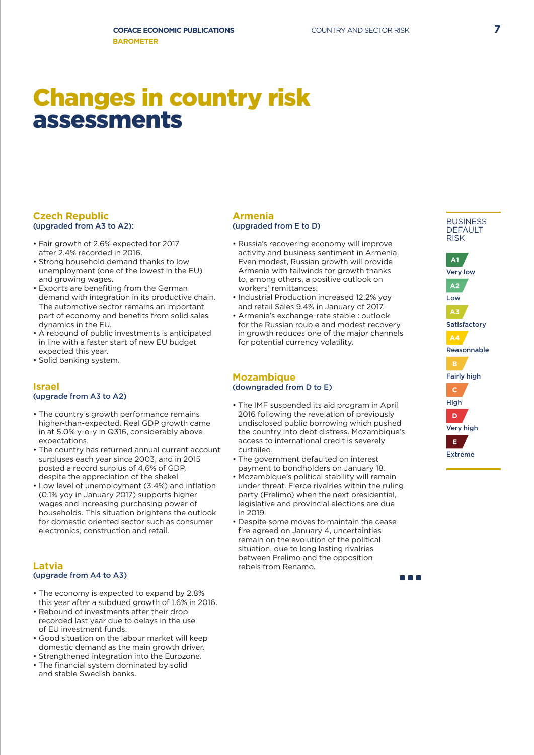# Changes in country risk assessments

# **Czech Republic** (upgraded from A3 to A2):

- Fair growth of 2.6% expected for 2017 after 2.4% recorded in 2016.
- Strong household demand thanks to low unemployment (one of the lowest in the EU) and growing wages.
- Exports are benefiting from the German demand with integration in its productive chain. The automotive sector remains an important part of economy and benefits from solid sales dynamics in the EU.
- A rebound of public investments is anticipated in line with a faster start of new EU budget expected this year.
- Solid banking system.

# **Israel** (upgrade from A3 to A2)

- The country's growth performance remains higher-than-expected. Real GDP growth came in at 5.0% y-o-y in Q316, considerably above expectations.
- The country has returned annual current account surpluses each year since 2003, and in 2015 posted a record surplus of 4.6% of GDP, despite the appreciation of the shekel
- Low level of unemployment (3.4%) and inflation (0.1% yoy in January 2017) supports higher wages and increasing purchasing power of households. This situation brightens the outlook for domestic oriented sector such as consumer electronics, construction and retail.

### **Latvia** (upgrade from A4 to A3)

- The economy is expected to expand by 2.8% this year after a subdued growth of 1.6% in 2016.
- Rebound of investments after their drop recorded last year due to delays in the use of EU investment funds.
- Good situation on the labour market will keep domestic demand as the main growth driver.
- Strengthened integration into the Eurozone.
- The financial system dominated by solid and stable Swedish banks.

### **Armenia** (upgraded from E to D)

- Russia's recovering economy will improve activity and business sentiment in Armenia. Even modest, Russian growth will provide Armenia with tailwinds for growth thanks to, among others, a positive outlook on workers' remittances.
- Industrial Production increased 12.2% yoy and retail Sales 9.4% in January of 2017.
- Armenia's exchange-rate stable : outlook for the Russian rouble and modest recovery in growth reduces one of the major channels for potential currency volatility.

### **Mozambique** (downgraded from D to E)

- The IMF suspended its aid program in April 2016 following the revelation of previously undisclosed public borrowing which pushed the country into debt distress. Mozambique's access to international credit is severely curtailed.
- The government defaulted on interest payment to bondholders on January 18.
- Mozambique's political stability will remain under threat. Fierce rivalries within the ruling party (Frelimo) when the next presidential, legislative and provincial elections are due in 2019.
- Despite some moves to maintain the cease fire agreed on January 4, uncertainties remain on the evolution of the political situation, due to long lasting rivalries between Frelimo and the opposition rebels from Renamo.

a a shekara



**BUSINESS** 



| $\sim$<br>×<br>۰.<br>× |
|------------------------|
|------------------------|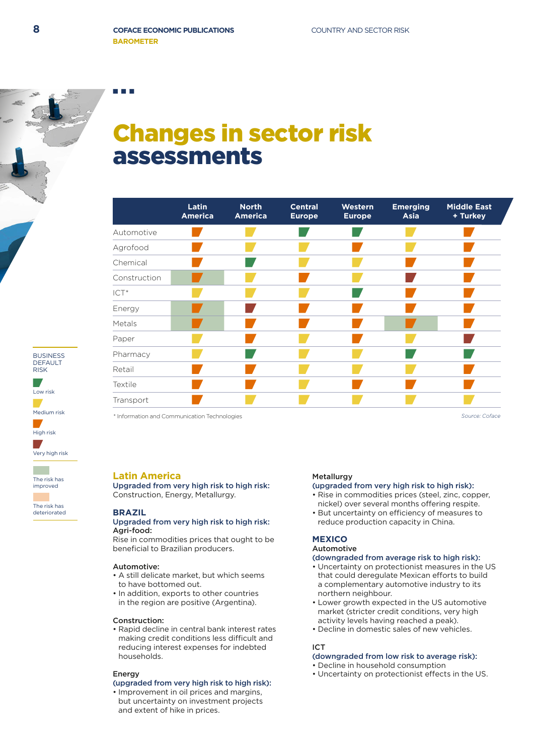# Low risk DEFAULT RISK

BUSINESS

Medium risk High risk

Very high risk

The risk has improved

The risk has

deteriorated

# Changes in sector risk assessments

|                                              | Latin<br><b>America</b> | <b>North</b><br><b>America</b> | <b>Central</b><br><b>Europe</b> | Western<br><b>Europe</b> | <b>Emerging</b><br><b>Asia</b> | <b>Middle East</b><br>+ Turkey |
|----------------------------------------------|-------------------------|--------------------------------|---------------------------------|--------------------------|--------------------------------|--------------------------------|
| Automotive                                   |                         |                                |                                 |                          |                                |                                |
| Agrofood                                     |                         |                                |                                 |                          |                                |                                |
| Chemical                                     |                         |                                |                                 |                          |                                |                                |
| Construction                                 |                         |                                |                                 |                          |                                |                                |
| ICT <sup>*</sup>                             |                         |                                |                                 |                          |                                |                                |
| Energy                                       |                         |                                |                                 |                          |                                |                                |
| Metals                                       |                         |                                |                                 |                          |                                |                                |
| Paper                                        |                         |                                |                                 |                          |                                |                                |
| Pharmacy                                     |                         |                                |                                 |                          |                                |                                |
| Retail                                       |                         |                                |                                 |                          |                                |                                |
| Textile                                      |                         |                                |                                 |                          |                                |                                |
| Transport                                    |                         |                                |                                 |                          |                                |                                |
| * Information and Communication Technologies |                         |                                |                                 |                          |                                | Source: Coface                 |

# **Latin America**

Upgraded from very high risk to high risk: Construction, Energy, Metallurgy.

### **BRAZIL**

# Upgraded from very high risk to high risk: Agri-food:

Rise in commodities prices that ought to be beneficial to Brazilian producers.

### Automotive:

- A still delicate market, but which seems to have bottomed out.
- In addition, exports to other countries in the region are positive (Argentina).

### Construction:

• Rapid decline in central bank interest rates making credit conditions less difficult and reducing interest expenses for indebted households.

### Energy

# (upgraded from very high risk to high risk):

• Improvement in oil prices and margins, but uncertainty on investment projects and extent of hike in prices.

# **Metallurgy**

- (upgraded from very high risk to high risk):
- Rise in commodities prices (steel, zinc, copper, nickel) over several months offering respite.
- But uncertainty on efficiency of measures to reduce production capacity in China.

#### **MEXICO** Automotive

# (downgraded from average risk to high risk):

- Uncertainty on protectionist measures in the US that could deregulate Mexican efforts to build a complementary automotive industry to its northern neighbour.
- Lower growth expected in the US automotive market (stricter credit conditions, very high activity levels having reached a peak).
- Decline in domestic sales of new vehicles.

# ICT

# (downgraded from low risk to average risk):

- Decline in household consumption
- Uncertainty on protectionist effects in the US.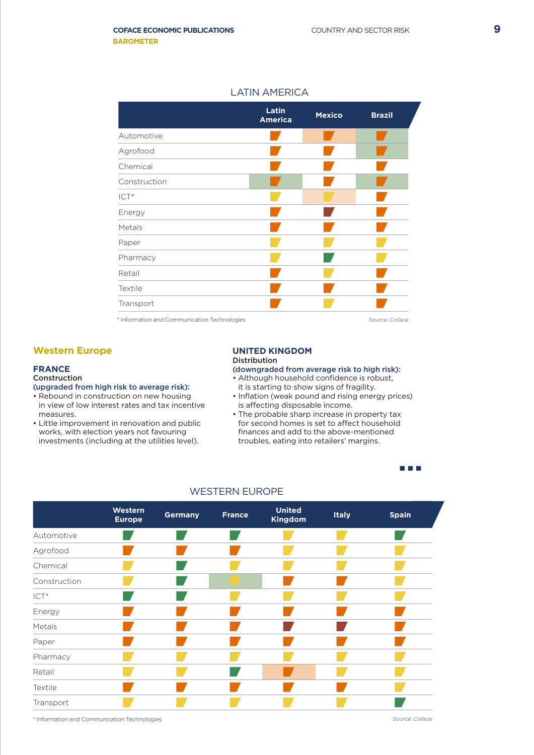# LATIN AMERICA

|                                              | Latin<br><b>America</b> | <b>Mexico</b> | <b>Brazil</b>  |  |
|----------------------------------------------|-------------------------|---------------|----------------|--|
| Automotive                                   |                         |               |                |  |
| Agrofood                                     |                         |               |                |  |
| Chemical                                     |                         |               |                |  |
| Construction                                 |                         |               |                |  |
| $ICT*$                                       |                         |               |                |  |
| Energy                                       |                         |               |                |  |
| Metals                                       |                         |               |                |  |
| Paper                                        |                         |               |                |  |
| Pharmacy                                     |                         |               |                |  |
| Retail                                       |                         |               |                |  |
| Textile                                      |                         |               |                |  |
| Transport                                    |                         |               |                |  |
| * Information and Communication Technologies |                         |               | Source: Coface |  |

# **Western Europe**

### **FRANCE**

# Construction

# (upgraded from high risk to average risk):

- Rebound in construction on new housing in view of low interest rates and tax incentive measures.
- Little improvement in renovation and public works, with election years not favouring investments (including at the utilities level).

#### **UNITED KINGDOM** Distribution

# (downgraded from average risk to high risk):

- Although household confidence is robust, it is starting to show signs of fragility.
- Inflation (weak pound and rising energy prices) is affecting disposable income.
- The probable sharp increase in property tax for second homes is set to affect household finances and add to the above-mentioned troubles, eating into retailers' margins.

n a n



### WESTERN EUROPE

\* Information and Communication Technologies *Source: Coface*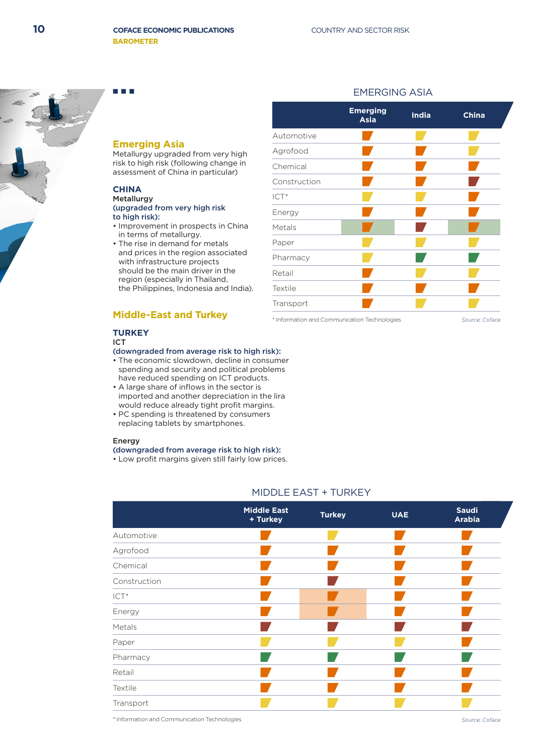

# **Emerging Asia**

Metallurgy upgraded from very high risk to high risk (following change in assessment of China in particular)

# **CHINA**

#### Metallurgy (upgraded from very high risk to high risk):

- Improvement in prospects in China in terms of metallurgy.
- The rise in demand for metals and prices in the region associated with infrastructure projects should be the main driver in the region (especially in Thailand, the Philippines, Indonesia and India).

# **Middle-East and Turkey**

#### **TURKEY** ICT

#### (downgraded from average risk to high risk):

- The economic slowdown, decline in consumer spending and security and political problems have reduced spending on ICT products.
- A large share of inflows in the sector is imported and another depreciation in the lira would reduce already tight profit margins.
- PC spending is threatened by consumers replacing tablets by smartphones.

#### Energy

### (downgraded from average risk to high risk):

• Low profit margins given still fairly low prices.

|              | <b>Emerging</b><br><b>Asia</b> | <b>India</b> | <b>China</b> |
|--------------|--------------------------------|--------------|--------------|
| Automotive   |                                |              |              |
| Agrofood     |                                |              |              |
| Chemical     |                                |              |              |
| Construction |                                |              |              |
| $ICT*$       |                                |              |              |
| Energy       |                                |              |              |
| Metals       |                                |              |              |
| Paper        |                                |              |              |
| Pharmacy     |                                |              |              |
| Retail       |                                |              |              |
| Textile      |                                |              |              |
| Transport    |                                |              |              |

EMERGING ASIA

\* Information and Communication Technologies

*Source: Coface*

# MIDDLE EAST + TURKEY

|              | <b>Middle East</b><br>+ Turkey | <b>Turkey</b> | <b>UAE</b> | <b>Saudi</b><br><b>Arabia</b> |
|--------------|--------------------------------|---------------|------------|-------------------------------|
| Automotive   |                                |               |            |                               |
| Agrofood     |                                |               |            |                               |
| Chemical     |                                |               |            |                               |
| Construction |                                |               |            |                               |
| $ICT*$       |                                |               |            |                               |
| Energy       |                                |               |            |                               |
| Metals       |                                |               |            |                               |
| Paper        |                                |               |            |                               |
| Pharmacy     |                                |               |            |                               |
| Retail       |                                |               |            |                               |
| Textile      |                                |               |            |                               |
| Transport    |                                |               |            |                               |

\* Information and Communication Technologies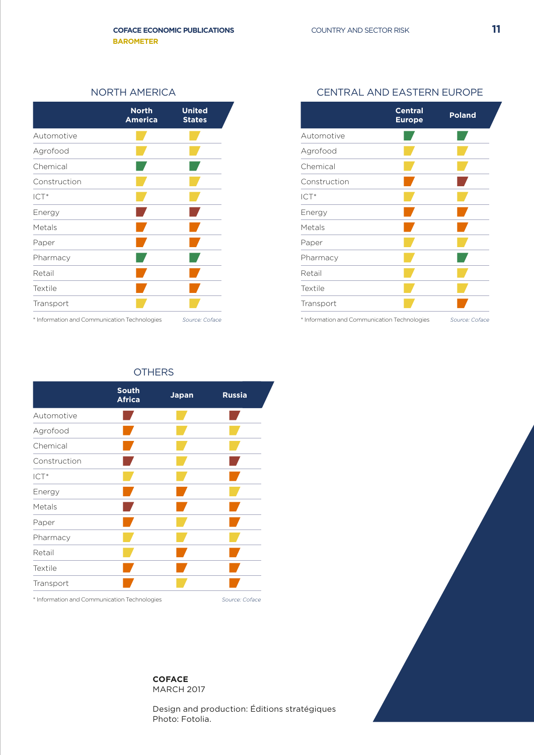|                                                                    | <b>North</b><br><b>America</b> | <b>United</b><br><b>States</b> |
|--------------------------------------------------------------------|--------------------------------|--------------------------------|
| Automotive                                                         |                                |                                |
| Agrofood                                                           |                                |                                |
| Chemical                                                           |                                |                                |
| Construction                                                       |                                |                                |
| $ICT*$                                                             |                                |                                |
| Energy                                                             |                                |                                |
| Metals                                                             |                                |                                |
| Paper                                                              |                                |                                |
| Pharmacy                                                           |                                |                                |
| Retail                                                             |                                |                                |
| Textile                                                            |                                |                                |
| Transport                                                          |                                |                                |
| ® Talla socialitza eta di ∩esperanto di dell'ese Tallata di estatu |                                |                                |

\* Information and Communication Technologies \* Information and Communication Technologies

# NORTH AMERICA CENTRAL AND EASTERN EUROPE

| <b>United</b><br><b>States</b> |                                              | <b>Central</b><br><b>Poland</b><br><b>Europe</b> |  |
|--------------------------------|----------------------------------------------|--------------------------------------------------|--|
|                                | Automotive                                   |                                                  |  |
|                                | Agrofood                                     |                                                  |  |
|                                | Chemical                                     |                                                  |  |
|                                | Construction                                 |                                                  |  |
|                                | ICT <sup>*</sup>                             |                                                  |  |
|                                | Energy                                       |                                                  |  |
|                                | Metals                                       |                                                  |  |
|                                | Paper                                        |                                                  |  |
|                                | Pharmacy                                     |                                                  |  |
|                                | Retail                                       |                                                  |  |
|                                | Textile                                      |                                                  |  |
|                                | Transport                                    |                                                  |  |
|                                | * Information and Communication Technologies | Source: Coface                                   |  |

# **OTHERS**

|                                              | <b>South</b><br><b>Africa</b> | <b>Japan</b> | <b>Russia</b>  |
|----------------------------------------------|-------------------------------|--------------|----------------|
| Automotive                                   |                               |              |                |
| Agrofood                                     |                               |              |                |
| Chemical                                     |                               |              |                |
| Construction                                 |                               |              |                |
| ICT*                                         |                               |              |                |
| Energy                                       |                               |              |                |
| Metals                                       |                               |              |                |
| Paper                                        |                               |              |                |
| Pharmacy                                     |                               |              |                |
| Retail                                       |                               |              |                |
| Textile                                      |                               |              |                |
| Transport                                    |                               |              |                |
| * Information and Communication Technologies |                               |              | Source: Coface |

**COFACE**

MARCH 2017

Design and production: Éditions stratégiques Photo: Fotolia.